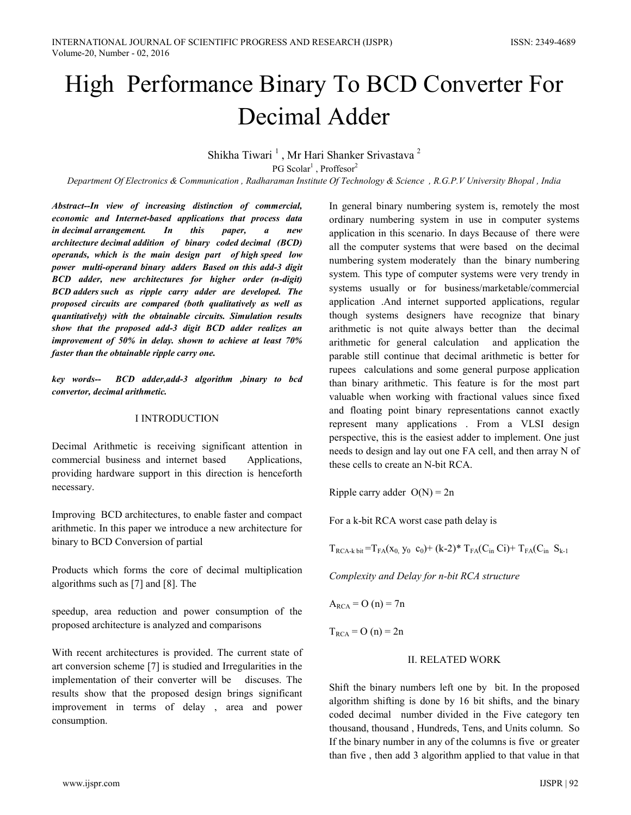# High Performance Binary To BCD Converter For Decimal Adder

Shikha Tiwari<sup>1</sup>, Mr Hari Shanker Srivastava<sup>2</sup> PG Scolar<sup>1</sup>, Proffesor<sup>2</sup>

Department Of Electronics & Communication, Radharaman Institute Of Technology & Science, R.G.P.V University Bhopal, India

Abstract--In view of increasing distinction of commercial, economic and Internet-based applications that process data in decimal arrangement.  $In$ this paper,  $\boldsymbol{a}$ new architecture decimal addition of binary coded decimal (BCD) operands, which is the main design part of high speed low power multi-operand binary adders Based on this add-3 digit BCD adder, new architectures for higher order (n-digit) BCD adders such as ripple carry adder are developed. The proposed circuits are compared (both qualitatively as well as quantitatively) with the obtainable circuits. Simulation results show that the proposed add-3 digit BCD adder realizes an improvement of 50% in delay. shown to achieve at least 70% faster than the obtainable ripple carry one.

key words-- BCD adder, add-3 algorithm , binary to bcd convertor, decimal arithmetic.

#### **I INTRODUCTION**

Decimal Arithmetic is receiving significant attention in commercial business and internet based Applications, providing hardware support in this direction is henceforth necessary.

Improving BCD architectures, to enable faster and compact arithmetic. In this paper we introduce a new architecture for binary to BCD Conversion of partial

Products which forms the core of decimal multiplication algorithms such as [7] and [8]. The

speedup, area reduction and power consumption of the proposed architecture is analyzed and comparisons

With recent architectures is provided. The current state of art conversion scheme [7] is studied and Irregularities in the implementation of their converter will be discuses. The results show that the proposed design brings significant improvement in terms of delay, area and power consumption.

In general binary numbering system is, remotely the most ordinary numbering system in use in computer systems application in this scenario. In days Because of there were all the computer systems that were based on the decimal numbering system moderately than the binary numbering system. This type of computer systems were very trendy in systems usually or for business/marketable/commercial application .And internet supported applications, regular though systems designers have recognize that binary arithmetic is not quite always better than the decimal arithmetic for general calculation and application the parable still continue that decimal arithmetic is better for rupees calculations and some general purpose application than binary arithmetic. This feature is for the most part valuable when working with fractional values since fixed and floating point binary representations cannot exactly represent many applications . From a VLSI design perspective, this is the easiest adder to implement. One just needs to design and lay out one FA cell, and then array N of these cells to create an N-bit RCA.

Ripple carry adder  $O(N) = 2n$ 

For a k-bit RCA worst case path delay is

 $T_{RCA-k \text{ bit}} = T_{FA}(x_0, y_0, c_0) + (k-2)^* T_{FA}(C_{in} C_i) + T_{FA}(C_{in} S_{k-1})$ 

Complexity and Delay for n-bit RCA structure

 $A_{RCA} = O(n) = 7n$ 

 $T_{RCA} = O(n) = 2n$ 

#### **II. RELATED WORK**

Shift the binary numbers left one by bit. In the proposed algorithm shifting is done by 16 bit shifts, and the binary coded decimal number divided in the Five category ten thousand, thousand, Hundreds, Tens, and Units column. So If the binary number in any of the columns is five or greater than five, then add 3 algorithm applied to that value in that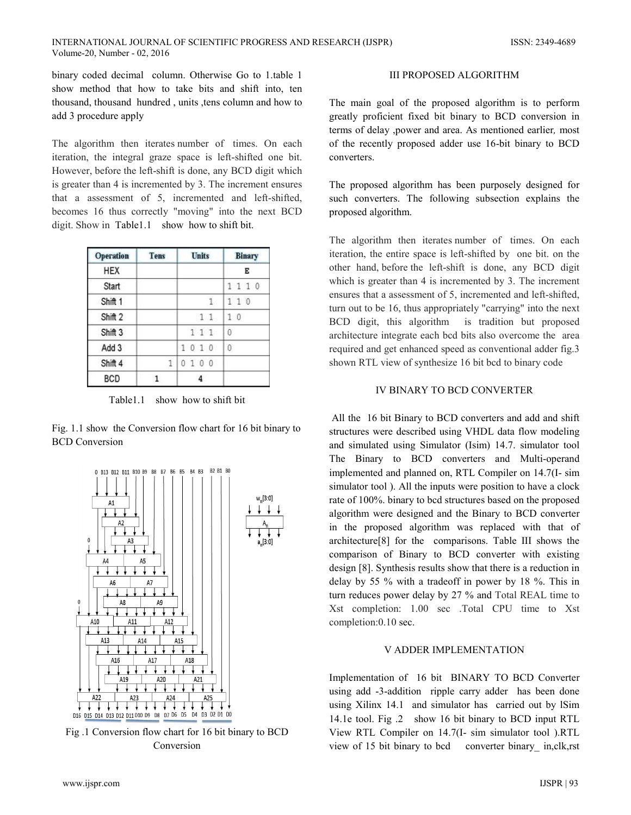binary coded decimal column. Otherwise Go to 1.table 1 show method that how to take bits and shift into, ten thousand, thousand hundred, units , tens column and how to add 3 procedure apply

The algorithm then iterates number of times. On each iteration, the integral graze space is left-shifted one bit. However, before the left-shift is done, any BCD digit which is greater than 4 is incremented by 3. The increment ensures that a assessment of 5, incremented and left-shifted, becomes 16 thus correctly "moving" into the next BCD digit. Show in Table1.1 show how to shift bit.

| <b>Operation</b>   | <b>Tens</b> | <b>Units</b> | <b>Binary</b> |  |  |
|--------------------|-------------|--------------|---------------|--|--|
| HEX                |             |              | Е             |  |  |
| Start              |             |              | 1110          |  |  |
| Shift <sub>1</sub> |             | 1            | 110           |  |  |
| Shift 2            |             | 11           | 10            |  |  |
| Shift 3            |             | 111          | $\theta$      |  |  |
| Add 3              |             | 1010         | $\theta$      |  |  |
| Shift 4            | 1           | 0100         |               |  |  |
| <b>BCD</b>         |             |              |               |  |  |

Table 1.1 show how to shift bit

Fig. 1.1 show the Conversion flow chart for 16 bit binary to **BCD** Conversion



Fig. 1 Conversion flow chart for 16 bit binary to BCD Conversion

## **III PROPOSED ALGORITHM**

The main goal of the proposed algorithm is to perform greatly proficient fixed bit binary to BCD conversion in terms of delay , power and area. As mentioned earlier, most of the recently proposed adder use 16-bit binary to BCD converters.

The proposed algorithm has been purposely designed for such converters. The following subsection explains the proposed algorithm.

The algorithm then iterates number of times. On each iteration, the entire space is left-shifted by one bit. on the other hand, before the left-shift is done, any BCD digit which is greater than 4 is incremented by 3. The increment ensures that a assessment of 5, incremented and left-shifted, turn out to be 16, thus appropriately "carrying" into the next BCD digit, this algorithm is tradition but proposed architecture integrate each bcd bits also overcome the area required and get enhanced speed as conventional adder fig.3 shown RTL view of synthesize 16 bit bcd to binary code

# **IV BINARY TO BCD CONVERTER**

All the 16 bit Binary to BCD converters and add and shift structures were described using VHDL data flow modeling and simulated using Simulator (Isim) 14.7. simulator tool The Binary to BCD converters and Multi-operand implemented and planned on, RTL Compiler on 14.7(I- sim simulator tool). All the inputs were position to have a clock rate of 100%, binary to bcd structures based on the proposed algorithm were designed and the Binary to BCD converter in the proposed algorithm was replaced with that of architecture<sup>[8]</sup> for the comparisons. Table III shows the comparison of Binary to BCD converter with existing design [8]. Synthesis results show that there is a reduction in delay by 55  $\%$  with a tradeoff in power by 18  $\%$ . This in turn reduces power delay by 27 % and Total REAL time to Xst completion: 1.00 sec .Total CPU time to Xst completion:0.10 sec.

## V ADDER IMPLEMENTATION

Implementation of 16 bit BINARY TO BCD Converter using add -3-addition ripple carry adder has been done using Xilinx 14.1 and simulator has carried out by ISim 14.1e tool. Fig. 2 show 16 bit binary to BCD input RTL View RTL Compiler on 14.7(I- sim simulator tool ).RTL view of 15 bit binary to bed converter binary in, clk, rst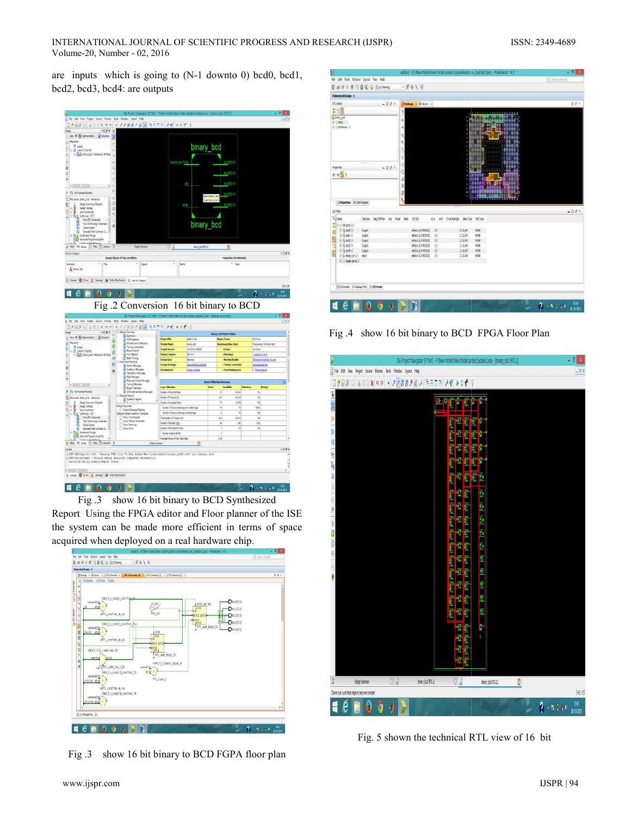are inputs which is going to  $(N-1)$  downto 0) bcd0, bcd1, bcd2, bcd3, bcd4: are outputs



Fig. 3 show 16 bit binary to BCD Synthesized

Report Using the FPGA editor and Floor planner of the ISE the system can be made more efficient in terms of space acquired when deployed on a real hardware chip.



Fig.3 show 16 bit binary to BCD FGPA floor plan

| ä                                                                                                      | adder2 - (F:/New folder/New folder/adder2.planAhead.run_2.adder2.ppr] - PlanAhead 14.1 | - 61<br>X                           |
|--------------------------------------------------------------------------------------------------------|----------------------------------------------------------------------------------------|-------------------------------------|
| File Edit Tools Window Layout View Help                                                                |                                                                                        | Q- Jerrit consumpt                  |
|                                                                                                        | $-10.6$ $\lambda$ $+0$                                                                 |                                     |
| Elaborated Design 10                                                                                   |                                                                                        |                                     |
| <b>RTL Netlet</b>                                                                                      | $= \Box$ $\partial^2 X$ <b>Package X</b> $\Phi$ Desice X                               | <b>NB</b>                           |
| 出出图                                                                                                    | <b>1 2 3 4 5 5 7 8 9 9 11 12 13 14 15 16 17 18 18 18</b>                               |                                     |
| 2 binary_bod<br>业 · 2: Nets (222)<br>(d) El Prentives (31)<br>mm<br>$-08$<br><b>Fraperben</b><br>$+31$ | $\Phi$<br>88<br>÷<br><b>ALL</b> NO<br>q<br>۵<br>ė,<br>Ŷ<br>á<br>$-100$<br>Ą<br>Ψ       |                                     |
| Properties In Cock Regions                                                                             |                                                                                        |                                     |
| <b>UD Ports</b>                                                                                        |                                                                                        | $-$ 0 $\theta$ $\times$             |
| <sup>Q</sup> /late<br>NegDITPain<br>Diection<br>9te<br>Red                                             | <b>1/3 9td</b><br>Drive Strength Slew Type Pull Type<br><b>Bark</b><br>Vote<br>W.      |                                     |
| (i) in All ports (10)<br>$\equiv$ $Q$ bod) $(4)$<br>Output                                             | default (LVONOS25)<br>NOVE<br>25<br>12 510 01                                          |                                     |
| <b> ④ bol1(</b><br>Output                                                                              | default (LYONOS25)<br>2.5<br>12 50 01<br>nove                                          |                                     |
| <b>Outun</b>                                                                                           | $\frac{15}{25}$<br>default (LICMOS25).<br>NXE<br>12 51,099                             |                                     |
| H 10 holl (4)<br>N<br>O/pr                                                                             | default (LVONOS25)<br>25<br>12 8.0W<br>NXE                                             |                                     |
| <b>@ 10 hol4 [4]</b><br>Output                                                                         | 25<br>NONE<br>default (LVOH0525)<br>12 54 09 14                                        |                                     |
| B B bhary Jn [10] Trput<br>E in Scalar ports (2)                                                       | default (LVCMOS25)<br>13<br>NOVE<br>12 5/2W                                            |                                     |
| Tri Corsole   A Package Pmi   D 1/0 Ports                                                              |                                                                                        |                                     |
| T<br>Đ                                                                                                 |                                                                                        | 1358<br>$2 - 8 + 8 +$<br>28-10-2015 |

Fig.4 show 16 bit binary to BCD FPGA Floor Plan



Fig. 5 shown the technical RTL view of 16 bit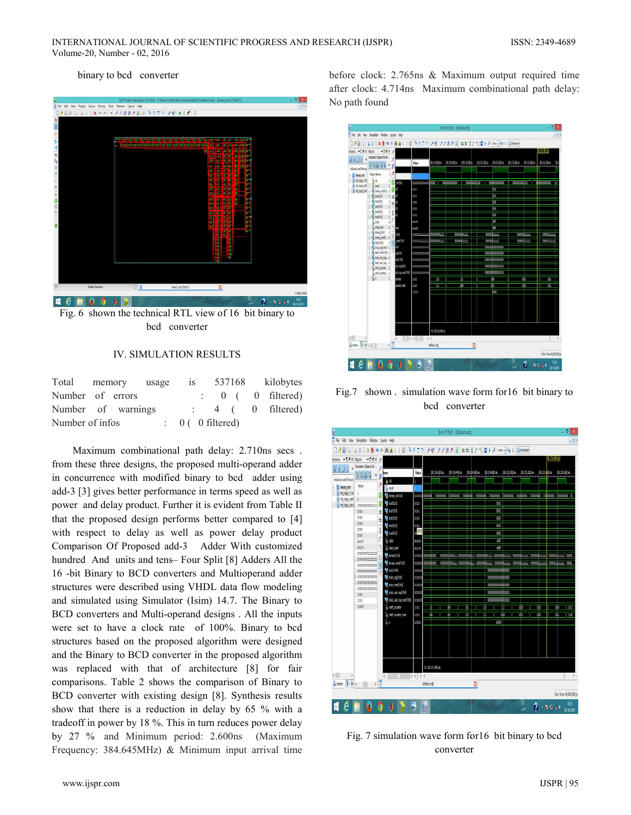#### binary to bed converter



Fig. 6 shown the technical RTL view of 16 bit binary to bcd converter

## IV. SIMULATION RESULTS

| Total memory usage |  |                             | 1S |  | 537168 kilobytes             |
|--------------------|--|-----------------------------|----|--|------------------------------|
| Number of errors   |  |                             |    |  | $\therefore$ 0 ( 0 filtered) |
| Number of warnings |  |                             |    |  | $\therefore$ 4 ( 0 filtered) |
| Number of infos    |  | $\therefore$ 0 (0 filtered) |    |  |                              |

Maximum combinational path delay: 2.710ns secs. from these three designs, the proposed multi-operand adder in concurrence with modified binary to bcd adder using add-3 [3] gives better performance in terms speed as well as power and delay product. Further it is evident from Table II that the proposed design performs better compared to [4] with respect to delay as well as power delay product Comparison Of Proposed add-3 Adder With customized hundred And units and tens-Four Split [8] Adders All the 16 -bit Binary to BCD converters and Multioperand adder structures were described using VHDL data flow modeling and simulated using Simulator (Isim) 14.7. The Binary to BCD converters and Multi-operand designs. All the inputs were set to have a clock rate of 100%. Binary to bcd structures based on the proposed algorithm were designed and the Binary to BCD converter in the proposed algorithm was replaced with that of architecture [8] for fair comparisons. Table 2 shows the comparison of Binary to BCD converter with existing design [8]. Synthesis results show that there is a reduction in delay by 65 % with a tradeoff in power by 18 %. This in turn reduces power delay by 27 % and Minimum period: 2.600ns (Maximum Frequency: 384.645MHz) & Minimum input arrival time before clock: 2.765ns & Maximum output required time after clock: 4.714ns Maximum combinational path delay: No path found



Fig.7 shown simulation wave form for 16 bit binary to bcd converter



Fig. 7 simulation wave form for 16 bit binary to bcd converter